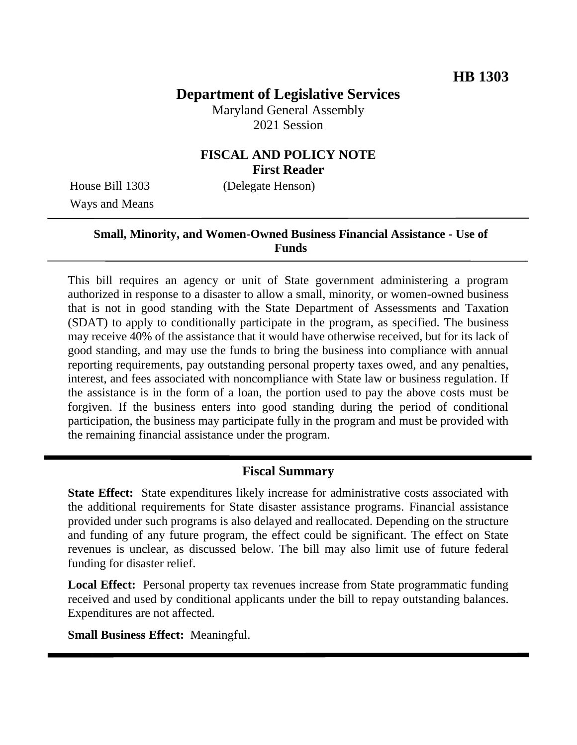# **Department of Legislative Services**

Maryland General Assembly 2021 Session

### **FISCAL AND POLICY NOTE First Reader**

Ways and Means

House Bill 1303 (Delegate Henson)

### **Small, Minority, and Women-Owned Business Financial Assistance - Use of Funds**

This bill requires an agency or unit of State government administering a program authorized in response to a disaster to allow a small, minority, or women-owned business that is not in good standing with the State Department of Assessments and Taxation (SDAT) to apply to conditionally participate in the program, as specified. The business may receive 40% of the assistance that it would have otherwise received, but for its lack of good standing, and may use the funds to bring the business into compliance with annual reporting requirements, pay outstanding personal property taxes owed, and any penalties, interest, and fees associated with noncompliance with State law or business regulation. If the assistance is in the form of a loan, the portion used to pay the above costs must be forgiven. If the business enters into good standing during the period of conditional participation, the business may participate fully in the program and must be provided with the remaining financial assistance under the program.

#### **Fiscal Summary**

**State Effect:** State expenditures likely increase for administrative costs associated with the additional requirements for State disaster assistance programs. Financial assistance provided under such programs is also delayed and reallocated. Depending on the structure and funding of any future program, the effect could be significant. The effect on State revenues is unclear, as discussed below. The bill may also limit use of future federal funding for disaster relief.

**Local Effect:** Personal property tax revenues increase from State programmatic funding received and used by conditional applicants under the bill to repay outstanding balances. Expenditures are not affected.

**Small Business Effect:** Meaningful.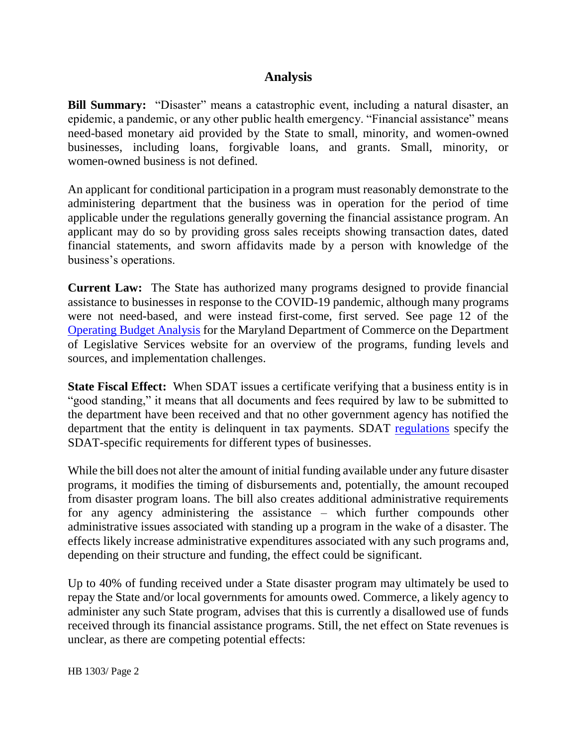# **Analysis**

**Bill Summary:** "Disaster" means a catastrophic event, including a natural disaster, an epidemic, a pandemic, or any other public health emergency. "Financial assistance" means need-based monetary aid provided by the State to small, minority, and women-owned businesses, including loans, forgivable loans, and grants. Small, minority, or women-owned business is not defined.

An applicant for conditional participation in a program must reasonably demonstrate to the administering department that the business was in operation for the period of time applicable under the regulations generally governing the financial assistance program. An applicant may do so by providing gross sales receipts showing transaction dates, dated financial statements, and sworn affidavits made by a person with knowledge of the business's operations.

**Current Law:** The State has authorized many programs designed to provide financial assistance to businesses in response to the COVID-19 pandemic, although many programs were not need-based, and were instead first-come, first served. See page 12 of the [Operating Budget Analysis](http://mgaleg.maryland.gov/pubs/budgetfiscal/2022fy-budget-docs-operating-T00-Department-of-Commerce.pdf#page=12) for the Maryland Department of Commerce on the Department of Legislative Services website for an overview of the programs, funding levels and sources, and implementation challenges.

**State Fiscal Effect:** When SDAT issues a certificate verifying that a business entity is in "good standing," it means that all documents and fees required by law to be submitted to the department have been received and that no other government agency has notified the department that the entity is delinquent in tax payments. SDAT [regulations](http://www.dsd.state.md.us/comar/SubtitleSearch.aspx?search=18.04.03.*) specify the SDAT-specific requirements for different types of businesses.

While the bill does not alter the amount of initial funding available under any future disaster programs, it modifies the timing of disbursements and, potentially, the amount recouped from disaster program loans. The bill also creates additional administrative requirements for any agency administering the assistance – which further compounds other administrative issues associated with standing up a program in the wake of a disaster. The effects likely increase administrative expenditures associated with any such programs and, depending on their structure and funding, the effect could be significant.

Up to 40% of funding received under a State disaster program may ultimately be used to repay the State and/or local governments for amounts owed. Commerce, a likely agency to administer any such State program, advises that this is currently a disallowed use of funds received through its financial assistance programs. Still, the net effect on State revenues is unclear, as there are competing potential effects: